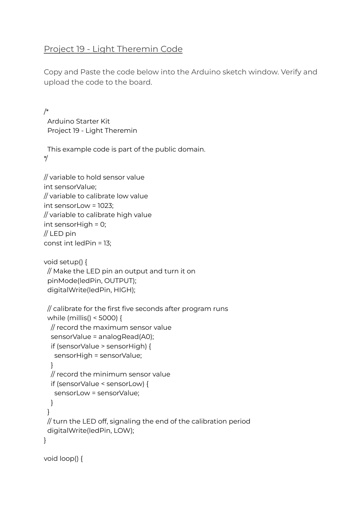## Project 19 - Light Theremin Code

Copy and Paste the code below into the Arduino sketch window. Verify and upload the code to the board.

/\* Arduino Starter Kit Project 19 - Light Theremin

This example code is part of the public domain. \*/

```
// variable to hold sensor value
int sensorValue;
// variable to calibrate low value
int sensorLow = 1023;
// variable to calibrate high value
int sensorHigh = 0;
// LED pin
const int ledPin = 13;
```

```
void setup() {
// Make the LED pin an output and turn it on
 pinMode(ledPin, OUTPUT);
 digitalWrite(ledPin, HIGH);
```

```
// calibrate for the first five seconds after program runs
 while (millis() < 5000) {
 // record the maximum sensor value
  sensorValue = analogRead(A0);
  if (sensorValue > sensorHigh) {
   sensorHigh = sensorValue;
  }
  // record the minimum sensor value
  if (sensorValue < sensorLow) {
   sensorLow = sensorValue;
 }
}
// turn the LED off, signaling the end of the calibration period
 digitalWrite(ledPin, LOW);
}
```

```
void loop() {
```